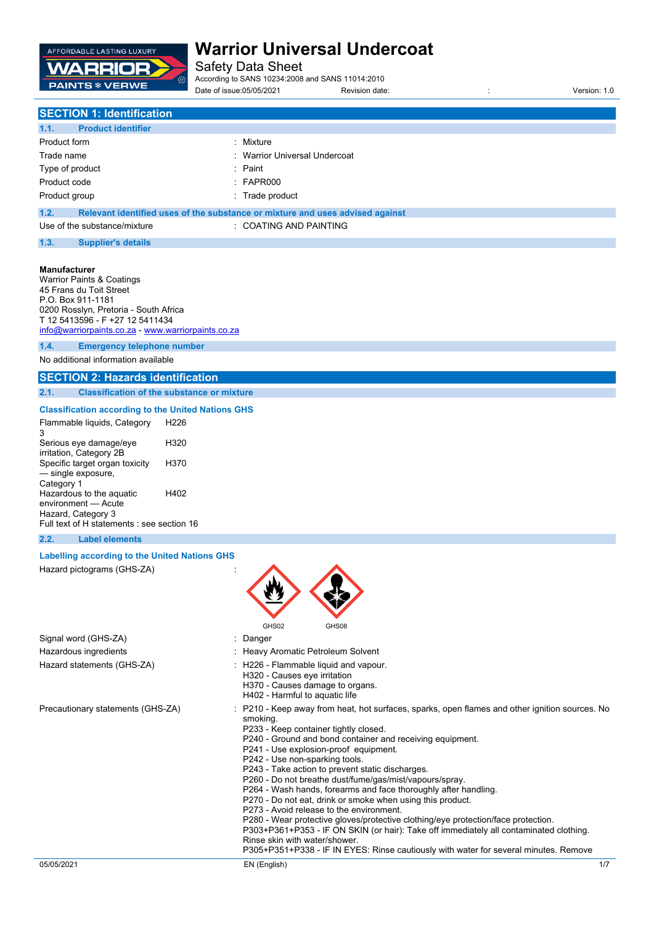

Safety Data Sheet

According to SANS 10234:2008 and SANS 11014:2010 Date of issue:05/05/2021 Revision date: : Version: 1.0

## **SECTION 1: Identification**

| 1.1.<br><b>Product identifier</b> |                                                                               |
|-----------------------------------|-------------------------------------------------------------------------------|
| Product form                      | : Mixture                                                                     |
| Trade name                        | : Warrior Universal Undercoat                                                 |
| Type of product                   | : Paint                                                                       |
| Product code                      | : FAPR000                                                                     |
| Product group                     | : Trade product                                                               |
| 1.2.                              | Relevant identified uses of the substance or mixture and uses advised against |

| Use of the substance/mixture | <b>COATING AND PAINTING</b> |  |
|------------------------------|-----------------------------|--|

#### **1.3. Supplier's details**

#### **Manufacturer**

Warrior Paints & Coatings 45 Frans du Toit Street P.O. Box 911-1181 0200 Rosslyn, Pretoria - South Africa T 12 5413596 - F +27 12 5411434 [info@warriorpaints.co.za](mailto:info@warriorpaints.co.za) - <www.warriorpaints.co.za> **1.4. Emergency telephone number**

No additional information available

### **SECTION 2: Hazards identification**

**2.1. Classification of the substance or mixture**

#### **Classification according to the United Nations GHS**

| Flammable liquids, Category<br>з                                 | H226 |
|------------------------------------------------------------------|------|
| Serious eye damage/eye                                           | H320 |
| irritation, Category 2B<br>Specific target organ toxicity        | H370 |
| - single exposure,                                               |      |
| Category 1                                                       |      |
| Hazardous to the aquatic<br>environment - Acute                  | H402 |
| Hazard, Category 3<br>Full text of H statements : see section 16 |      |

#### **2.2. Label elements**

#### **Labelling according to the United Nations GHS**

Hazard pictograms (GHS-ZA) :



P243 - Take action to prevent static discharges.

P260 - Do not breathe dust/fume/gas/mist/vapours/spray.

- P264 Wash hands, forearms and face thoroughly after handling.
- P270 Do not eat, drink or smoke when using this product.

P273 - Avoid release to the environment.

P280 - Wear protective gloves/protective clothing/eye protection/face protection.

P303+P361+P353 - IF ON SKIN (or hair): Take off immediately all contaminated clothing. Rinse skin with water/shower.

P305+P351+P338 - IF IN EYES: Rinse cautiously with water for several minutes. Remove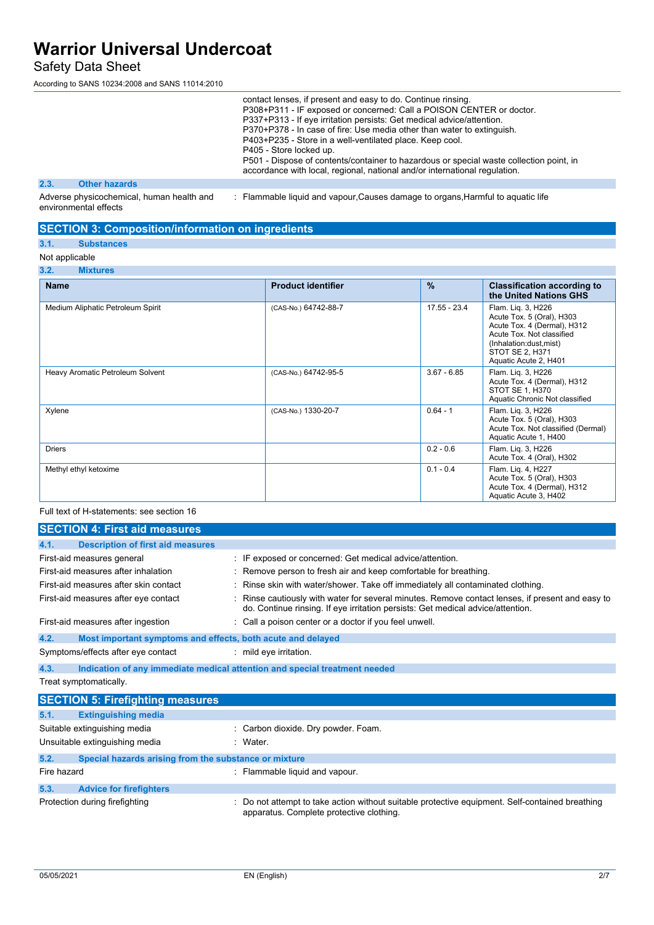### Safety Data Sheet

According to SANS 10234:2008 and SANS 11014:2010

|      |                      |  | contact lenses, if present and easy to do. Continue rinsing.<br>P308+P311 - IF exposed or concerned: Call a POISON CENTER or doctor.<br>P337+P313 - If eye irritation persists: Get medical advice/attention.<br>P370+P378 - In case of fire: Use media other than water to extinguish.<br>P403+P235 - Store in a well-ventilated place. Keep cool.<br>P405 - Store locked up.<br>P501 - Dispose of contents/container to hazardous or special waste collection point, in<br>accordance with local, regional, national and/or international regulation. |
|------|----------------------|--|---------------------------------------------------------------------------------------------------------------------------------------------------------------------------------------------------------------------------------------------------------------------------------------------------------------------------------------------------------------------------------------------------------------------------------------------------------------------------------------------------------------------------------------------------------|
| 2.3. | <b>Other hazards</b> |  |                                                                                                                                                                                                                                                                                                                                                                                                                                                                                                                                                         |
|      |                      |  |                                                                                                                                                                                                                                                                                                                                                                                                                                                                                                                                                         |

Adverse physicochemical, human health and environmental effects : Flammable liquid and vapour,Causes damage to organs,Harmful to aquatic life

### **SECTION 3: Composition/information on ingredients**

### **3.1. Substances**

### Not applicable

### **3.2. Mixtures**

| <b>Name</b>                       | <b>Product identifier</b> | $\frac{9}{6}$ | <b>Classification according to</b><br>the United Nations GHS                                                                                                                             |
|-----------------------------------|---------------------------|---------------|------------------------------------------------------------------------------------------------------------------------------------------------------------------------------------------|
| Medium Aliphatic Petroleum Spirit | (CAS-No.) 64742-88-7      | 17.55 - 23.4  | Flam. Lig. 3, H226<br>Acute Tox. 5 (Oral), H303<br>Acute Tox. 4 (Dermal), H312<br>Acute Tox, Not classified<br>(Inhalation:dust,mist)<br><b>STOT SE 2, H371</b><br>Aquatic Acute 2, H401 |
| Heavy Aromatic Petroleum Solvent  | (CAS-No.) 64742-95-5      | $3.67 - 6.85$ | Flam. Liq. 3, H226<br>Acute Tox. 4 (Dermal), H312<br>STOT SE 1, H370<br>Aquatic Chronic Not classified                                                                                   |
| Xylene                            | (CAS-No.) 1330-20-7       | $0.64 - 1$    | Flam. Liq. 3, H226<br>Acute Tox. 5 (Oral), H303<br>Acute Tox. Not classified (Dermal)<br>Aquatic Acute 1, H400                                                                           |
| <b>Driers</b>                     |                           | $0.2 - 0.6$   | Flam. Lig. 3, H226<br>Acute Tox. 4 (Oral), H302                                                                                                                                          |
| Methyl ethyl ketoxime             |                           | $0.1 - 0.4$   | Flam. Liq. 4, H227<br>Acute Tox. 5 (Oral), H303<br>Acute Tox. 4 (Dermal), H312<br>Aquatic Acute 3, H402                                                                                  |

### Full text of H-statements: see section 16

| <b>SECTION 4: First aid measures</b>                                |                                                                                                                                                                                     |  |
|---------------------------------------------------------------------|-------------------------------------------------------------------------------------------------------------------------------------------------------------------------------------|--|
| <b>Description of first aid measures</b><br>4.1.                    |                                                                                                                                                                                     |  |
| First-aid measures general                                          | : IF exposed or concerned: Get medical advice/attention.                                                                                                                            |  |
| First-aid measures after inhalation                                 | : Remove person to fresh air and keep comfortable for breathing.                                                                                                                    |  |
| First-aid measures after skin contact                               | Rinse skin with water/shower. Take off immediately all contaminated clothing.                                                                                                       |  |
| First-aid measures after eye contact                                | : Rinse cautiously with water for several minutes. Remove contact lenses, if present and easy to<br>do. Continue rinsing. If eye irritation persists: Get medical advice/attention. |  |
| First-aid measures after ingestion                                  | : Call a poison center or a doctor if you feel unwell.                                                                                                                              |  |
| 4.2.<br>Most important symptoms and effects, both acute and delayed |                                                                                                                                                                                     |  |
| Symptoms/effects after eye contact                                  | mild eye irritation.                                                                                                                                                                |  |
| 4.3.                                                                | Indication of any immediate medical attention and special treatment needed                                                                                                          |  |
| Treat symptomatically.                                              |                                                                                                                                                                                     |  |
| <b>SECTION 5: Firefighting measures</b>                             |                                                                                                                                                                                     |  |

| 5.1.        | <b>Extinguishing media</b>                            |                                                                                                                                             |
|-------------|-------------------------------------------------------|---------------------------------------------------------------------------------------------------------------------------------------------|
|             | Suitable extinguishing media                          | Carbon dioxide. Dry powder. Foam.                                                                                                           |
|             | Unsuitable extinguishing media                        | : Water                                                                                                                                     |
| 5.2.        | Special hazards arising from the substance or mixture |                                                                                                                                             |
| Fire hazard |                                                       | : Flammable liquid and vapour.                                                                                                              |
| 5.3.        | <b>Advice for firefighters</b>                        |                                                                                                                                             |
|             | Protection during firefighting                        | : Do not attempt to take action without suitable protective equipment. Self-contained breathing<br>apparatus. Complete protective clothing. |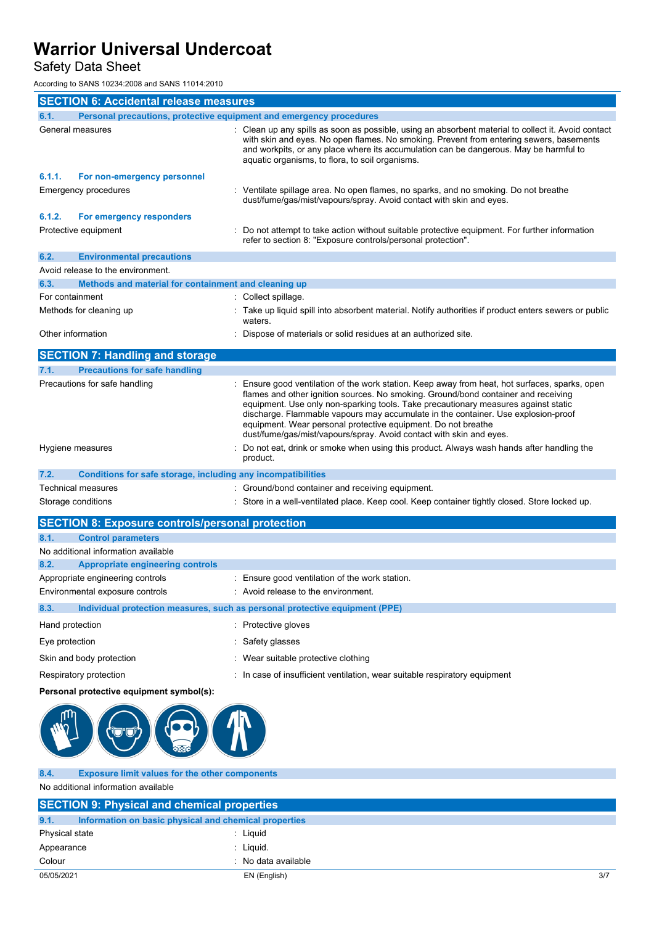## Safety Data Sheet

According to SANS 10234:2008 and SANS 11014:2010

|                   | <b>SECTION 6: Accidental release measures</b>                       |  |                                                                                                                                                                                                                                                                                                                                                                                                                                                                                                       |  |  |
|-------------------|---------------------------------------------------------------------|--|-------------------------------------------------------------------------------------------------------------------------------------------------------------------------------------------------------------------------------------------------------------------------------------------------------------------------------------------------------------------------------------------------------------------------------------------------------------------------------------------------------|--|--|
| 6.1.              | Personal precautions, protective equipment and emergency procedures |  |                                                                                                                                                                                                                                                                                                                                                                                                                                                                                                       |  |  |
|                   | General measures                                                    |  | : Clean up any spills as soon as possible, using an absorbent material to collect it. Avoid contact<br>with skin and eyes. No open flames. No smoking. Prevent from entering sewers, basements<br>and workpits, or any place where its accumulation can be dangerous. May be harmful to<br>aquatic organisms, to flora, to soil organisms.                                                                                                                                                            |  |  |
| 6.1.1.            | For non-emergency personnel                                         |  |                                                                                                                                                                                                                                                                                                                                                                                                                                                                                                       |  |  |
|                   | <b>Emergency procedures</b>                                         |  | Ventilate spillage area. No open flames, no sparks, and no smoking. Do not breathe<br>dust/fume/gas/mist/vapours/spray. Avoid contact with skin and eyes.                                                                                                                                                                                                                                                                                                                                             |  |  |
| 6.1.2.            | For emergency responders                                            |  |                                                                                                                                                                                                                                                                                                                                                                                                                                                                                                       |  |  |
|                   | Protective equipment                                                |  | Do not attempt to take action without suitable protective equipment. For further information<br>refer to section 8: "Exposure controls/personal protection".                                                                                                                                                                                                                                                                                                                                          |  |  |
| 6.2.              | <b>Environmental precautions</b>                                    |  |                                                                                                                                                                                                                                                                                                                                                                                                                                                                                                       |  |  |
|                   | Avoid release to the environment.                                   |  |                                                                                                                                                                                                                                                                                                                                                                                                                                                                                                       |  |  |
| 6.3.              | Methods and material for containment and cleaning up                |  |                                                                                                                                                                                                                                                                                                                                                                                                                                                                                                       |  |  |
| For containment   |                                                                     |  | : Collect spillage.                                                                                                                                                                                                                                                                                                                                                                                                                                                                                   |  |  |
|                   | Methods for cleaning up                                             |  | Take up liquid spill into absorbent material. Notify authorities if product enters sewers or public<br>waters.                                                                                                                                                                                                                                                                                                                                                                                        |  |  |
| Other information |                                                                     |  | Dispose of materials or solid residues at an authorized site.                                                                                                                                                                                                                                                                                                                                                                                                                                         |  |  |
|                   | <b>SECTION 7: Handling and storage</b>                              |  |                                                                                                                                                                                                                                                                                                                                                                                                                                                                                                       |  |  |
| 7.1.              | <b>Precautions for safe handling</b>                                |  |                                                                                                                                                                                                                                                                                                                                                                                                                                                                                                       |  |  |
|                   | Precautions for safe handling                                       |  | Ensure good ventilation of the work station. Keep away from heat, hot surfaces, sparks, open<br>flames and other ignition sources. No smoking. Ground/bond container and receiving<br>equipment. Use only non-sparking tools. Take precautionary measures against static<br>discharge. Flammable vapours may accumulate in the container. Use explosion-proof<br>equipment. Wear personal protective equipment. Do not breathe<br>dust/fume/gas/mist/vapours/spray. Avoid contact with skin and eyes. |  |  |
|                   | Hygiene measures                                                    |  | Do not eat, drink or smoke when using this product. Always wash hands after handling the<br>product.                                                                                                                                                                                                                                                                                                                                                                                                  |  |  |
| 7.2.              | Conditions for safe storage, including any incompatibilities        |  |                                                                                                                                                                                                                                                                                                                                                                                                                                                                                                       |  |  |
|                   | Technical measures                                                  |  | : Ground/bond container and receiving equipment.                                                                                                                                                                                                                                                                                                                                                                                                                                                      |  |  |
|                   | Storage conditions                                                  |  | Store in a well-ventilated place. Keep cool. Keep container tightly closed. Store locked up.                                                                                                                                                                                                                                                                                                                                                                                                          |  |  |

|                 | <b>SECTION 8: Exposure controls/personal protection</b> |                                                                             |
|-----------------|---------------------------------------------------------|-----------------------------------------------------------------------------|
| 8.1.            | <b>Control parameters</b>                               |                                                                             |
|                 | No additional information available                     |                                                                             |
| 8.2.            | <b>Appropriate engineering controls</b>                 |                                                                             |
|                 | Appropriate engineering controls                        | : Ensure good ventilation of the work station.                              |
|                 | Environmental exposure controls                         | : Avoid release to the environment.                                         |
| 8.3.            |                                                         | Individual protection measures, such as personal protective equipment (PPE) |
| Hand protection |                                                         | : Protective gloves                                                         |
| Eye protection  |                                                         | : Safety glasses                                                            |
|                 | Skin and body protection                                | : Wear suitable protective clothing                                         |
|                 | Respiratory protection                                  | : In case of insufficient ventilation, wear suitable respiratory equipment  |

### **Personal protective equipment symbol(s):**



**8.4. Exposure limit values for the other components** No additional information available

| <b>SECTION 9: Physical and chemical properties</b>            |                     |     |
|---------------------------------------------------------------|---------------------|-----|
| 9.1.<br>Information on basic physical and chemical properties |                     |     |
| Physical state                                                | : Liauid            |     |
| Appearance                                                    | : Liauid.           |     |
| Colour                                                        | : No data available |     |
| 05/05/2021                                                    | EN (English)        | 3/7 |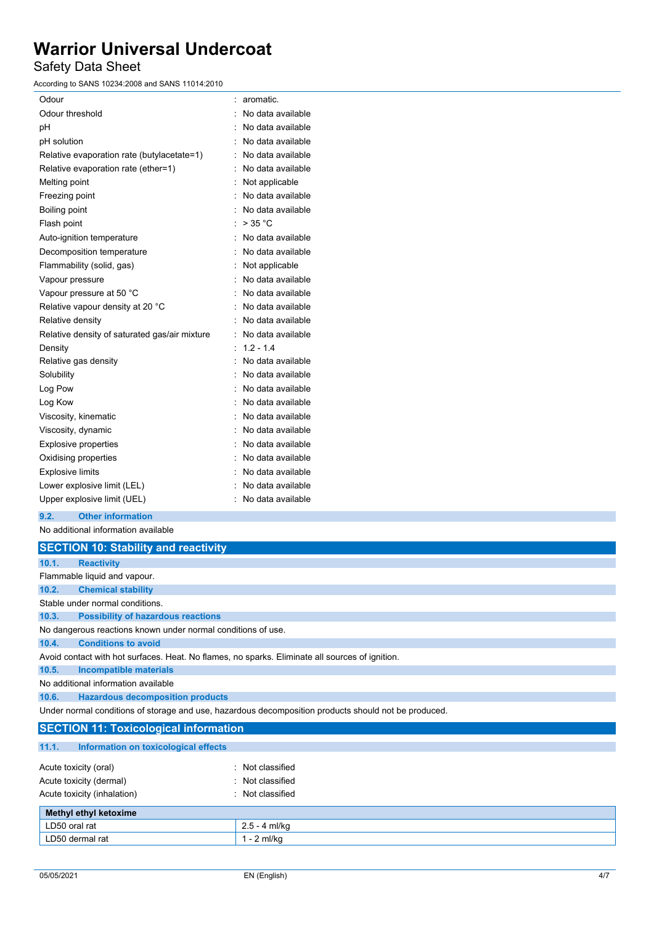### Safety Data Sheet

According to SANS 10234:2008 and SANS 11014:2010

| Odour                                         |   | aromatic.           |
|-----------------------------------------------|---|---------------------|
| Odour threshold                               |   | No data available   |
| рH                                            |   | No data available   |
| pH solution                                   |   | No data available   |
| Relative evaporation rate (butylacetate=1)    |   | No data available   |
| Relative evaporation rate (ether=1)           |   | No data available   |
| Melting point                                 |   | Not applicable      |
| Freezing point                                |   | No data available   |
| Boiling point                                 |   | No data available   |
| Flash point                                   |   | $>$ 35 °C           |
| Auto-ignition temperature                     |   | : No data available |
| Decomposition temperature                     |   | No data available   |
| Flammability (solid, gas)                     |   | Not applicable      |
| Vapour pressure                               |   | No data available   |
| Vapour pressure at 50 °C                      |   | No data available   |
| Relative vapour density at 20 °C              |   | No data available   |
| Relative density                              |   | No data available   |
| Relative density of saturated gas/air mixture | t | No data available   |
| Density                                       |   | $1.2 - 1.4$         |
| Relative gas density                          |   | No data available   |
| Solubility                                    |   | No data available   |
| Log Pow                                       |   | No data available   |
| Log Kow                                       |   | No data available   |
| Viscosity, kinematic                          |   | No data available   |
| Viscosity, dynamic                            |   | No data available   |
| <b>Explosive properties</b>                   |   | No data available   |
| Oxidising properties                          |   | No data available   |
| <b>Explosive limits</b>                       |   | No data available   |
| Lower explosive limit (LEL)                   |   | No data available   |
| Upper explosive limit (UEL)                   |   | No data available   |

**9.2. Other information**

No additional information available

|       | <b>SECTION 10: Stability and reactivity</b>                                                          |
|-------|------------------------------------------------------------------------------------------------------|
| 10.1. | <b>Reactivity</b>                                                                                    |
|       | Flammable liquid and vapour.                                                                         |
| 10.2. | <b>Chemical stability</b>                                                                            |
|       | Stable under normal conditions.                                                                      |
| 10.3. | <b>Possibility of hazardous reactions</b>                                                            |
|       | No dangerous reactions known under normal conditions of use.                                         |
| 10.4. | <b>Conditions to avoid</b>                                                                           |
|       | Avoid contact with hot surfaces. Heat. No flames, no sparks. Eliminate all sources of ignition.      |
| 10.5. | Incompatible materials                                                                               |
|       | No additional information available                                                                  |
| 10.6. | <b>Hazardous decomposition products</b>                                                              |
|       | Under normal conditions of storage and use, hazardous decomposition products should not be produced. |

### **SECTION 11: Toxicological information**

| 11.1.<br>Information on toxicological effects    |                                      |
|--------------------------------------------------|--------------------------------------|
| Acute toxicity (oral)<br>Acute toxicity (dermal) | : Not classified<br>: Not classified |
| Acute toxicity (inhalation)                      | : Not classified                     |
| Methyl ethyl ketoxime                            |                                      |
| LD50 oral rat                                    | $2.5 - 4$ ml/kg                      |
| LD50 dermal rat                                  | $1 - 2$ ml/kg                        |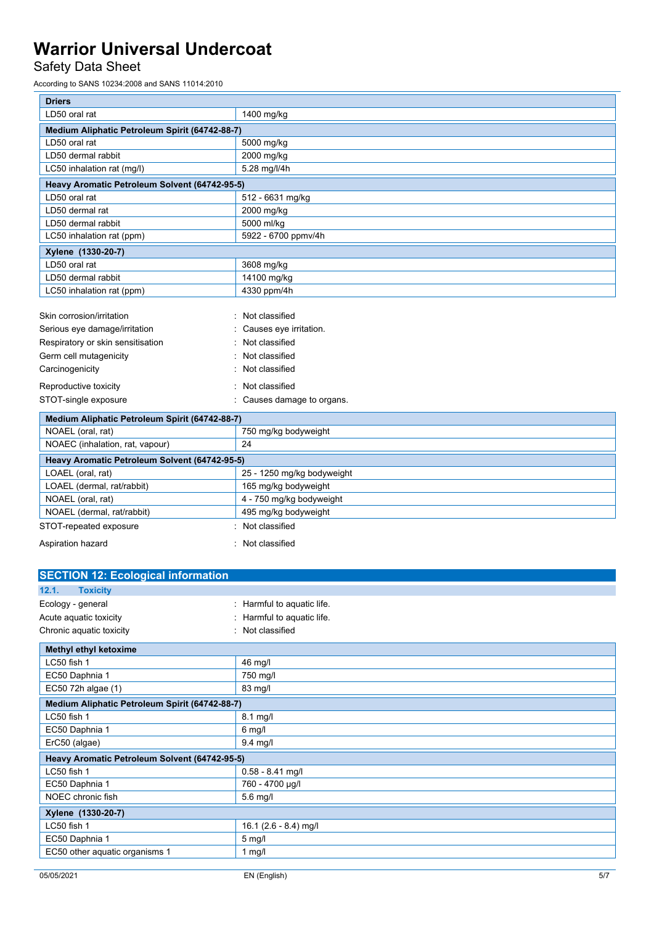## Safety Data Sheet

According to SANS 10234:2008 and SANS 11014:2010

| <b>Driers</b>                                       |                            |  |  |
|-----------------------------------------------------|----------------------------|--|--|
| LD50 oral rat<br>1400 mg/kg                         |                            |  |  |
| Medium Aliphatic Petroleum Spirit (64742-88-7)      |                            |  |  |
| LD50 oral rat                                       | 5000 mg/kg                 |  |  |
| LD50 dermal rabbit                                  | 2000 mg/kg                 |  |  |
| LC50 inhalation rat (mg/l)                          | 5.28 mg/l/4h               |  |  |
| Heavy Aromatic Petroleum Solvent (64742-95-5)       |                            |  |  |
| LD50 oral rat                                       | 512 - 6631 mg/kg           |  |  |
| LD50 dermal rat                                     | 2000 mg/kg                 |  |  |
| LD50 dermal rabbit                                  | 5000 ml/kg                 |  |  |
| LC50 inhalation rat (ppm)<br>5922 - 6700 ppmv/4h    |                            |  |  |
| Xylene (1330-20-7)                                  |                            |  |  |
| LD50 oral rat                                       | 3608 mg/kg                 |  |  |
| LD50 dermal rabbit                                  | 14100 mg/kg                |  |  |
| 4330 ppm/4h<br>LC50 inhalation rat (ppm)            |                            |  |  |
|                                                     |                            |  |  |
| Skin corrosion/irritation                           | Not classified             |  |  |
| Serious eye damage/irritation                       | Causes eye irritation.     |  |  |
| Not classified<br>Respiratory or skin sensitisation |                            |  |  |
| Germ cell mutagenicity                              | Not classified             |  |  |
| Carcinogenicity                                     | Not classified             |  |  |
| Reproductive toxicity                               | Not classified             |  |  |
| STOT-single exposure                                | Causes damage to organs.   |  |  |
| Medium Aliphatic Petroleum Spirit (64742-88-7)      |                            |  |  |
| NOAEL (oral, rat)                                   | 750 mg/kg bodyweight       |  |  |
| NOAEC (inhalation, rat, vapour)                     | 24                         |  |  |
| Heavy Aromatic Petroleum Solvent (64742-95-5)       |                            |  |  |
| LOAEL (oral, rat)                                   | 25 - 1250 mg/kg bodyweight |  |  |
| LOAEL (dermal, rat/rabbit)                          | 165 mg/kg bodyweight       |  |  |
| NOAFL (oral rat)<br>4 - 750 ma/ka bodyweight        |                            |  |  |

| NOAEL (oral, rat)          | 4 - 750 mg/kg bodyweight |
|----------------------------|--------------------------|
| NOAEL (dermal, rat/rabbit) | 495 mg/kg bodyweight     |
| STOT-repeated exposure     | : Not classified         |
| Aspiration hazard          | : Not classified         |

| <b>SECTION 12: Ecological information</b>      |                               |  |  |
|------------------------------------------------|-------------------------------|--|--|
| <b>Toxicity</b><br>12.1.                       |                               |  |  |
| Ecology - general                              | Harmful to aquatic life.<br>٠ |  |  |
| Acute aquatic toxicity                         | Harmful to aquatic life.      |  |  |
| Chronic aquatic toxicity<br>۰                  | Not classified                |  |  |
| Methyl ethyl ketoxime                          |                               |  |  |
| LC50 fish 1                                    | 46 mg/l                       |  |  |
| EC50 Daphnia 1<br>750 mg/l                     |                               |  |  |
| EC50 72h algae (1)                             | 83 mg/l                       |  |  |
| Medium Aliphatic Petroleum Spirit (64742-88-7) |                               |  |  |
| LC50 fish 1                                    | 8.1 mg/l                      |  |  |
| EC50 Daphnia 1                                 | $6$ mg/l                      |  |  |
| ErC50 (algae)                                  | $9.4$ mg/l                    |  |  |
| Heavy Aromatic Petroleum Solvent (64742-95-5)  |                               |  |  |
| LC50 fish 1                                    | $0.58 - 8.41$ mg/l            |  |  |
| EC50 Daphnia 1                                 | 760 - 4700 µg/l               |  |  |
| NOEC chronic fish                              | $5.6$ mg/l                    |  |  |
| Xylene (1330-20-7)                             |                               |  |  |
| LC50 fish 1                                    | 16.1 (2.6 - 8.4) mg/l         |  |  |
| EC50 Daphnia 1                                 | $5$ mg/l                      |  |  |
| EC50 other aquatic organisms 1                 | 1 $mg/l$                      |  |  |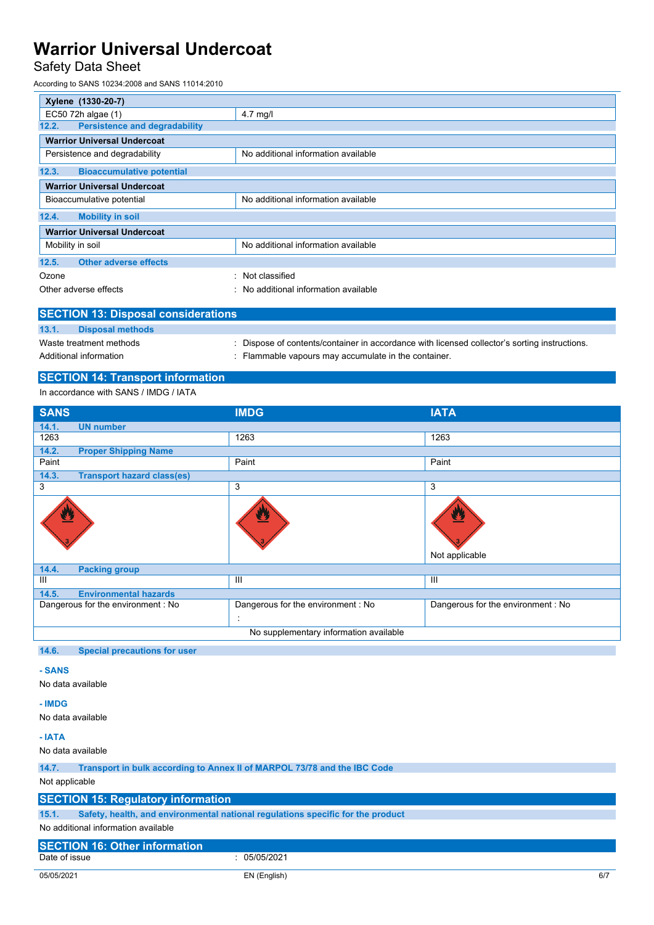## Safety Data Sheet

According to SANS 10234:2008 and SANS 11014:2010

| Xylene (1330-20-7)                                                   |                                     |  |  |
|----------------------------------------------------------------------|-------------------------------------|--|--|
| EC50 72h algae (1)<br>$4.7$ mg/l                                     |                                     |  |  |
| 12.2.<br><b>Persistence and degradability</b>                        |                                     |  |  |
| <b>Warrior Universal Undercoat</b>                                   |                                     |  |  |
| Persistence and degradability<br>No additional information available |                                     |  |  |
| 12.3.<br><b>Bioaccumulative potential</b>                            |                                     |  |  |
| <b>Warrior Universal Undercoat</b>                                   |                                     |  |  |
| No additional information available<br>Bioaccumulative potential     |                                     |  |  |
| 12.4.<br><b>Mobility in soil</b>                                     |                                     |  |  |
| <b>Warrior Universal Undercoat</b>                                   |                                     |  |  |
| Mobility in soil                                                     | No additional information available |  |  |
| <b>Other adverse effects</b><br>12.5.                                |                                     |  |  |
| Ozone                                                                | : Not classified                    |  |  |
| No additional information available<br>Other adverse effects<br>۰.   |                                     |  |  |

| <b>SECTION 13: Disposal considerations</b> |                         |                                                                                             |  |  |
|--------------------------------------------|-------------------------|---------------------------------------------------------------------------------------------|--|--|
| 13.1.                                      | <b>Disposal methods</b> |                                                                                             |  |  |
| Waste treatment methods                    |                         | Dispose of contents/container in accordance with licensed collector's sorting instructions. |  |  |
| Additional information                     |                         | : Flammable vapours may accumulate in the container.                                        |  |  |

### **SECTION 14: Transport information**

In accordance with SANS / IMDG / IATA

| <b>SANS</b>                                | <b>IMDG</b>                             | <b>IATA</b>                       |  |
|--------------------------------------------|-----------------------------------------|-----------------------------------|--|
| 14.1.<br><b>UN number</b>                  |                                         |                                   |  |
| 1263                                       | 1263                                    | 1263                              |  |
| 14.2.<br><b>Proper Shipping Name</b>       |                                         |                                   |  |
| Paint                                      | Paint                                   | Paint                             |  |
| 14.3.<br><b>Transport hazard class(es)</b> |                                         |                                   |  |
| 3                                          | 3                                       | $\overline{3}$                    |  |
| ፵                                          |                                         | W<br>Not applicable               |  |
| 14.4.<br><b>Packing group</b>              |                                         |                                   |  |
| $\mathbf{III}$<br>Ш<br>$\mathbf{III}$      |                                         |                                   |  |
| 14.5.<br><b>Environmental hazards</b>      |                                         |                                   |  |
| Dangerous for the environment: No          | Dangerous for the environment : No<br>÷ | Dangerous for the environment: No |  |
| No supplementary information available     |                                         |                                   |  |

#### **14.6. Special precautions for user**

### **- SANS**

No data available

### **- IMDG**

No data available

#### **- IATA**

No data available

**14.7. Transport in bulk according to Annex II of MARPOL 73/78 and the IBC Code**

Not applicable

### **SECTION 15: Regulatory information**

**15.1. Safety, health, and environmental national regulations specific for the product**

No additional information available

# **SECTION 16: Other information**

05/05/2021 EN (English) 6/7

 $\frac{1}{2}$  05/05/2021